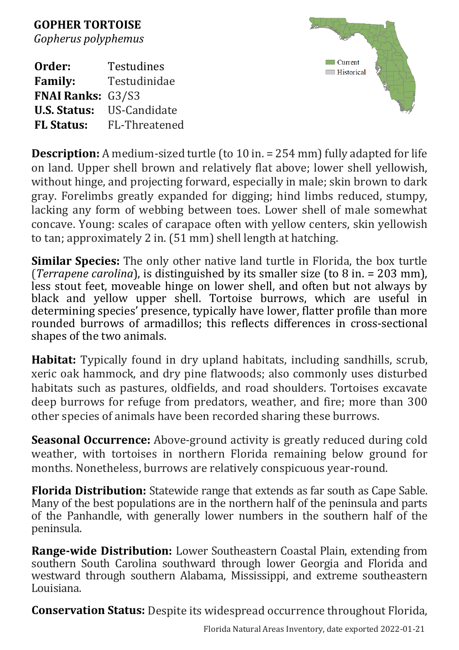**GOPHER TORTOISE** *[Gopherus polyphemus](file://fnai01/current/Science_Information/Data_Mgmt/Data_reports_CRv9/EST/Field_Guide_report/ADA_testing/DBF_FRM_SCI_NAME)*

**Order:** [Testudines](file://fnai01/current/Science_Information/Data_Mgmt/Data_reports_CRv9/EST/Field_Guide_report/ADA_testing/DBF_SYNONYMS)<br> **Family:** Testudinida **Family:** Testudinidae **FNAI Ranks:** G3/S3 **U.S. Status:** US-Candidate **FL Status:** FL-Threatened



**Description:** A medium-sized turtle (to 10 in. = 254 mm) fully adapted for life on land. Upper shell brown and relatively flat above; lower shell yellowish, without hinge, and projecting forward, especially in male; skin brown to dark gray. Forelimbs greatly expanded for digging; hind limbs reduced, stumpy, lacking any form of webbing between toes. Lower shell of male somewhat concave. Young: scales of carapace often with yellow centers, skin yellowish to tan; approximately 2 in. (51 mm) shell length at hatching.

**Similar Species:** The only other native land turtle in Florida, the box turtle (*Terrapene carolina*), is distinguished by its smaller size (to 8 in. = 203 mm), less stout feet, moveable hinge on lower shell, and often but not always by black and yellow upper shell. Tortoise burrows, which are useful in determining species' presence, typically have lower, flatter profile than more rounded burrows of armadillos; this reflects differences in cross-sectional shapes of the two animals.

**Habitat:** Typically found in dry upland habitats, including sandhills, scrub, xeric oak hammock, and dry pine flatwoods; also commonly uses disturbed habitats such as pastures, oldfields, and road shoulders. Tortoises excavate deep burrows for refuge from predators, weather, and fire; more than 300 other species of animals have been recorded sharing these burrows.

**Seasonal Occurrence:** Above-ground activity is greatly reduced during cold weather, with tortoises in northern Florida remaining below ground for months. Nonetheless, burrows are relatively conspicuous year-round.

**Florida Distribution:** Statewide range that extends as far south as Cape Sable. Many of the best populations are in the northern half of the peninsula and parts of the Panhandle, with generally lower numbers in the southern half of the peninsula.

**Range-wide Distribution:** Lower Southeastern Coastal Plain, extending from southern South Carolina southward through lower Georgia and Florida and westward through southern Alabama, Mississippi, and extreme southeastern Louisiana.

**Conservation Status:** Despite its widespread occurrence throughout Florida,